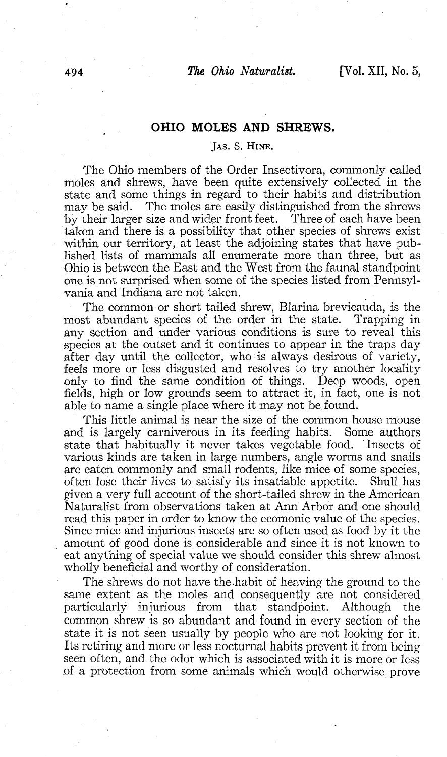## **OHIO MOLES AND SHREWS.**

## JAS. S. HINE.

The Ohio members of the Order Insectivora, commonly called moles and shrews, have been quite extensively collected in the state and some things in regard to their habits and distribution may be said. The moles are easily distinguished from the shrews The moles are easily distinguished from the shrews size and wider front feet. Three of each have been by their larger size and wider front feet. taken and there is a possibility that other species of shrews exist within our territory, at least the adjoining states that have published lists of mammals all enumerate more than three, but as Ohio is between the East and the West from the faunal standpoint one is not surprised when some of the species listed from Pennsylvania and Indiana are not taken.

The common or short tailed shrew, Blarina brevicauda, is the most abundant species of the order in the state. Trapping in any section and under various conditions is sure to reveal this species at the outset and it continues to appear in the traps day after day until the collector, who is always desirous of variety, feels more or less disgusted and resolves to try another locality only to find the same condition of things. Deep woods, open fields, high or low grounds seem to attract it, in fact, one is not able to name a single place where it may not be found.

This little animal is near the size of the common house mouse and is largely carniverous in its feeding habits. Some authors state that habitually it never takes vegetable food. Insects of various kinds are taken in large numbers, angle worms and snails are eaten commonly and small rodents, like mice of some species, often lose their lives to satisfy its insatiable appetite. Shull has given a very full account of the short-tailed shrew in the American Naturalist from observations taken at Ann Arbor and one should read this paper in order to know the ecomonic value of the species. Since mice and injurious insects are so often used as food by it the amount of good done is considerable and since it is not known to eat anything of special value we should consider this shrew almost wholly beneficial and worthy of consideration.

The shrews do not have the habit of heaving the ground to the same extent as the moles and consequently are not considered particularly injurious from that standpoint. Although the common shrew is so abundant and found in every section of the state it is not seen usually by people who are not looking for it. Its retiring and more or less nocturnal habits prevent it from being seen often, and the odor which is associated with it is more or less *of* a protection from some animals which would otherwise prove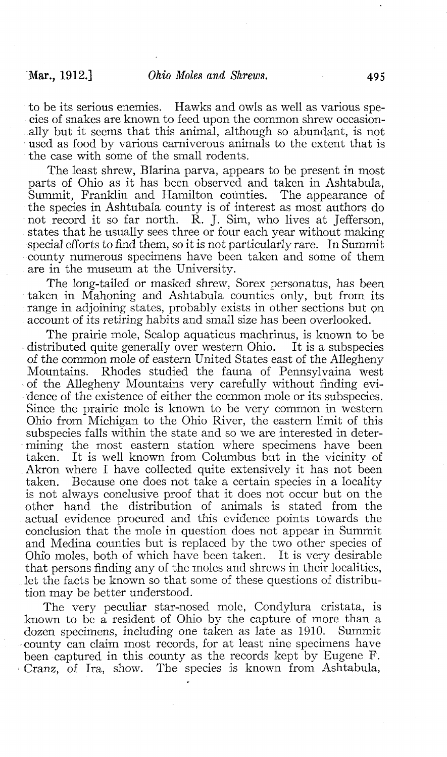to be its serious enemies. Hawks and owls as well as various species of snakes are known to feed upon the common shrew occasionally but it seems that this animal, although so abundant, is not used as food by various carniverous animals to the extent that is the case with some of the small rodents.

The least shrew, Blarina parva, appears to be present in most parts of Ohio as it has been observed and taken in Ashtabula, Summit, Franklin and Hamilton counties. The appearance of the species in Ashtubala county is of interest as most authors do not record it so far north. R. J. Sim, who lives at Jefferson, states that he usually sees three or four each year without making special efforts to find them, so it is not particularly rare. In Summit county numerous specimens have been taken and some of them are in the museum at the University.

The long-tailed or masked shrew, Sorex personatus, has been taken in Mahoning and Ashtabula counties only, but from its range in adjoining states, probably exists in other sections but on account of its retiring habits and small size has been overlooked.

The prairie mole, Scalop aquaticus machrinus, is known to be distributed quite generally over western Ohio. It is a subspecies of the common mole of eastern United States east of the Allegheny Mountains. Rhodes studied the fauna of Pennsylvaina west of the Allegheny Mountains very carefully without finding evidence of the existence of either the common mole or its subspecies. Since the prairie mole is known to be very common in western Ohio from Michigan to the Ohio River, the eastern limit of this subspecies falls within the state and so we are interested in determining the most eastern station where specimens have been taken. It is well known from Columbus but in the vicinity of Akron where I have collected quite extensively it has not been taken. Because one does not take a certain species in a locality is not always conclusive proof that it does not occur but on the other hand the distribution of animals is stated from the actual evidence procured and this evidence points towards the conclusion that the mole in question does not appear in Summit and Medina counties but is replaced by the two other species of Ohio moles, both of which have been taken. It is very desirable that persons finding any of the moles and shrews in their localities, let the facts be known so that some of these questions of distribution may be better understood.

The very peculiar star-nosed mole, Condylura cristata, is known to be a resident of Ohio by the capture of more than a dozen specimens, including one taken as late as 1910. Summit dozen specimens, including one taken as late as 1910. county can claim most records, for at least nine specimens have been captured in this county as the records kept by Eugene F. Cranz, of Ira, show. The species is known from Ashtabula,